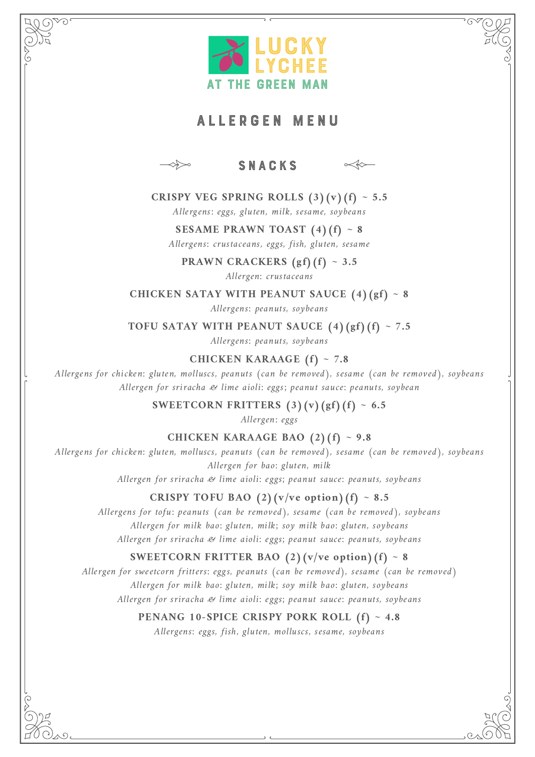

# AL L ERGEN MENU



#### SNACKS



# **CRISPY VEG SPRING ROLLS**  $(3)(v)(f) \sim 5.5$

Allergens: eggs, gluten, milk, sesame, soybeans

# **SESAME PRAWN TOAST (4)(f) ~ 8**

Allergens: crustaceans, eggs, fish, gluten, sesame

**PRAWN CRACKERS (gf)(f) ~ 3.5**

Allergen: crustaceans

**CHICKEN SATAY WITH PEANUT SAUCE (4)(gf) ~ 8**

Allergens: peanuts, soybeans

**TOFU SATAY WITH PEANUT SAUCE (4)(gf)(f) ~ 7.5**

Allergens: peanuts, soybeans

**CHICKEN KARAAGE (f) ~ 7.8**

Allergens for chicken: gluten, molluscs, peanuts (can be removed), sesame (can be removed), soybeans Allergen for sriracha & lime aioli: eggs; peanut sauce: peanuts, soybean

**SWEETCORN FRITTERS** (3)(v)(gf)(f)  $\sim 6.5$ 

Allergen: eggs

#### **CHICKEN KARAAGE BAO (2)(f) ~ 9.8**

Allergens for chicken: gluten, molluscs, peanuts (can be removed), sesame (can be removed), soybeans Allergen for bao: gluten, milk

Allergen for sriracha & lime aioli: eggs; peanut sauce: peanuts, soybeans

#### **CRISPY TOFU BAO**  $(2)(v/ve)$  **option** $(f) \sim 8.5$

Allergens for tofu: peanuts (can be removed), sesame (can be removed), soybeans Allergen for milk bao: gluten, milk; soy milk bao: gluten, soybeans Allergen for sriracha & lime aioli: eggs; peanut sauce: peanuts, soybeans

### **SWEETCORN FRITTER BAO** (2)( $v/ve$  option)(f) ~ 8

Allergen for sweetcorn fritters: eggs, peanuts (can be removed), sesame (can be removed) Allergen for milk bao: gluten, milk; soy milk bao: gluten, soybeans Allergen for sriracha & lime aioli: eggs; peanut sauce: peanuts, soybeans

#### **PENANG 10-SPICE CRISPY PORK ROLL (f) ~ 4.8**

Allergens: eggs, fish, gluten, molluscs, sesame, soybeans